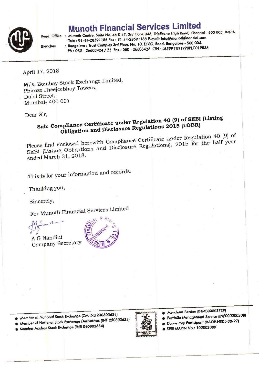## Munoth Financial Services Limited



**Branches** 

Regd. Office : Munoth Centre, Suite No. 46 & 47, 3rd Floor, 343, Triplicane High Road, Chennai - 600 005. INDIA. Tele : 91-44-28591185 Fax : 91-44-28591188 E-mail: info@munothfinancial.com : Bongofore : Trust Compfex 3rd floor, No. 10, D.VG. Rood, Bongolore - 560 OO4, Ph: 080 - 26603424 / 25 Fax: 080 - 26603423 CIN: L65991TN1990PLC019836

April 17, 2018

M/s. Bombay Stock Exchange Limited, Phiroze Jheejeebhoy Towers, Dalal Street, Mumbai- 400 001

Dear Sir.

## Siub: Compliance Certificate under Regulation 4O (9) of SEBI (Listing Obligation and Disclosure Regulations 2015 (LODR)

Please find enclosed herewith Compliance Certificate under Regulation 40 (9) of SEBI (Listing Obligations and Disclosure Regulations), 2015 for the half year ended March 31, 2018.

This is for your information and records.

Thanking You,

Sincerely,

For Munoth Financial Services Limited

 $\mathcal{D}^{\text{P}}$ 

A G Nandini CompanY Secretary



● Member of National Stock Exchange (CM INB 230803634)

 $\bullet$  Member of Nat<mark>ional Stock Exchange Derivatives (INF 230803634)</mark>

O Member Modros Sfock Exchonge (fNB Oa0803634)



- Merchant Banker (INM000003739)<br>● Portfolio Management Service (INP000000308)
- o Portfolio Management Service (r. 1999)
- $\bullet$  Depository Porticipant  $(x-2)$  - $(x-2)$  $\bullet$  SEBI MAPIN No.: 100002089